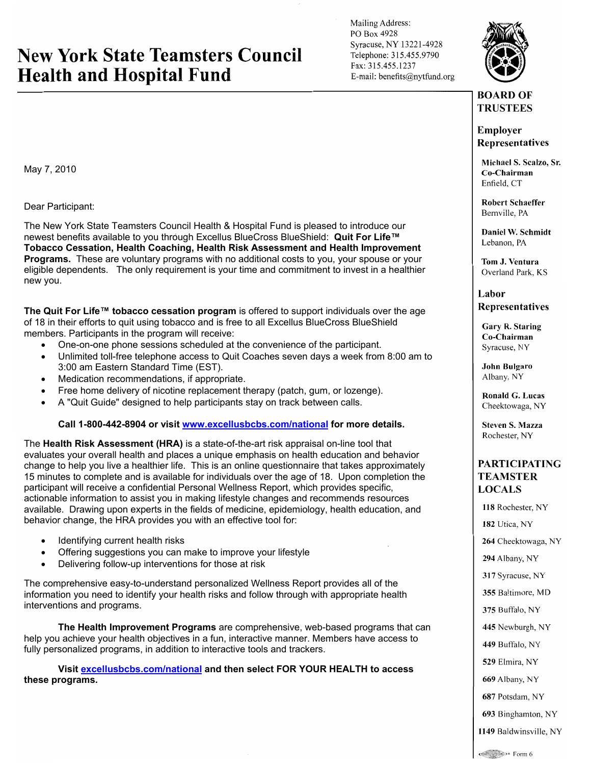## **New York State Teamsters Council Health and Hospital Fund**

Mailing Address: PO Box 4928 Syracuse, NY 13221-4928 Telephone: 315.455.9790 Fax: 315.455.1237 E-mail: benefits@nytfund.org



## **BOARD OF TRUSTEES**

**Employer Representatives** 

Michael S. Scalzo, Sr. Co-Chairman Enfield, CT

**Robert Schaeffer** Bernville, PA

Daniel W. Schmidt Lebanon, PA

Tom J. Ventura Overland Park, KS

Labor **Representatives** 

Gary R. Staring Co-Chairman Svracuse, NY

John Bulgaro Albany, NY

Ronald G. Lucas Cheektowaga, NY

**Steven S. Mazza** Rochester, NY

## **PARTICIPATING TEAMSTER LOCALS**

118 Rochester, NY 182 Utica, NY 264 Cheektowaga, NY 294 Albany, NY 317 Syracuse, NY 355 Baltimore, MD 375 Buffalo, NY 445 Newburgh, NY 449 Buffalo, NY 529 Elmira, NY 669 Albany, NY 687 Potsdam, NY 693 Binghamton, NY

1149 Baldwinsville, NY

May 7, 2010

Dear Participant:

The New York State Teamsters Council Health & Hospital Fund is pleased to introduce our newest benefits available to you through Excellus BlueCross BlueShield: **Quit For Life™ Tobacco Cessation, Health Coaching, Health Risk Assessment and Health Improvement Programs.** These are voluntary programs with no additional costs to you, your spouse or your eligible dependents. The only requirement is your time and commitment to invest in a healthier new you.

**The Quit For Life™ tobacco cessation program** is offered to support individuals over the age of 18 in their efforts to quit using tobacco and is free to all Excellus BlueCross BlueShield members. Participants in the program will receive:

- One-on-one phone sessions scheduled at the convenience of the participant.
- Unlimited toll-free telephone access to Quit Coaches seven days a week from 8:00 am to 3:00 am Eastern Standard Time (EST).
- Medication recommendations, if appropriate.
- Free home delivery of nicotine replacement therapy (patch, gum, or lozenge).
- A "Quit Guide" designed to help participants stay on track between calls.

**Call 1-800-442-8904 or visit www.excellusbcbs.com/national for more details.** 

The **Health Risk Assessment (HRA)** is a state-of-the-art risk appraisal on-line tool that evaluates your overall health and places a unique emphasis on health education and behavior change to help you live a healthier life. This is an online questionnaire that takes approximately 15 minutes to complete and is available for individuals over the age of 18. Upon completion the participant will receive a confidential Personal Wellness Report, which provides specific, actionable information to assist you in making lifestyle changes and recommends resources available. Drawing upon experts in the fields of medicine, epidemiology, health education, and behavior change, the HRA provides you with an effective tool for:

- Identifying current health risks
- Offering suggestions you can make to improve your lifestyle
- Delivering follow-up interventions for those at risk

The comprehensive easy-to-understand personalized Wellness Report provides all of the information you need to identify your health risks and follow through with appropriate health interventions and programs.

**The Health Improvement Programs** are comprehensive, web-based programs that can help you achieve your health objectives in a fun, interactive manner. Members have access to fully personalized programs, in addition to interactive tools and trackers.

**Visit excellusbcbs.com/national and then select FOR YOUR HEALTH to access these programs.**